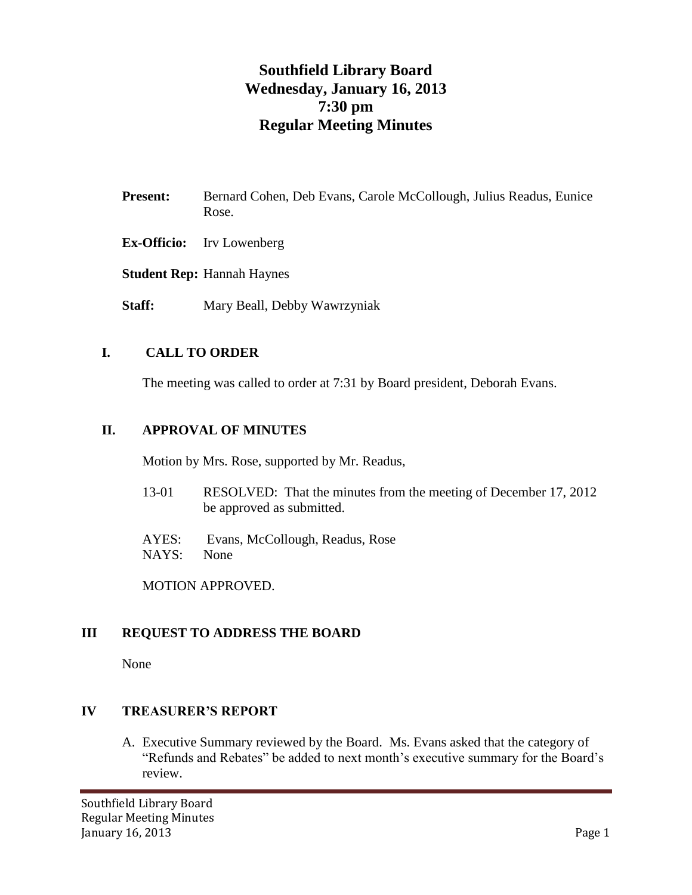# **Southfield Library Board Wednesday, January 16, 2013 7:30 pm Regular Meeting Minutes**

- **Present:** Bernard Cohen, Deb Evans, Carole McCollough, Julius Readus, Eunice Rose.
- **Ex-Officio:** Irv Lowenberg
- **Student Rep:** Hannah Haynes
- **Staff:** Mary Beall, Debby Wawrzyniak

## **I. CALL TO ORDER**

The meeting was called to order at 7:31 by Board president, Deborah Evans.

## **II. APPROVAL OF MINUTES**

Motion by Mrs. Rose, supported by Mr. Readus,

- 13-01 RESOLVED: That the minutes from the meeting of December 17, 2012 be approved as submitted.
- AYES: Evans, McCollough, Readus, Rose NAYS: None

MOTION APPROVED.

## **III REQUEST TO ADDRESS THE BOARD**

None

#### **IV TREASURER'S REPORT**

A. Executive Summary reviewed by the Board. Ms. Evans asked that the category of "Refunds and Rebates" be added to next month's executive summary for the Board's review.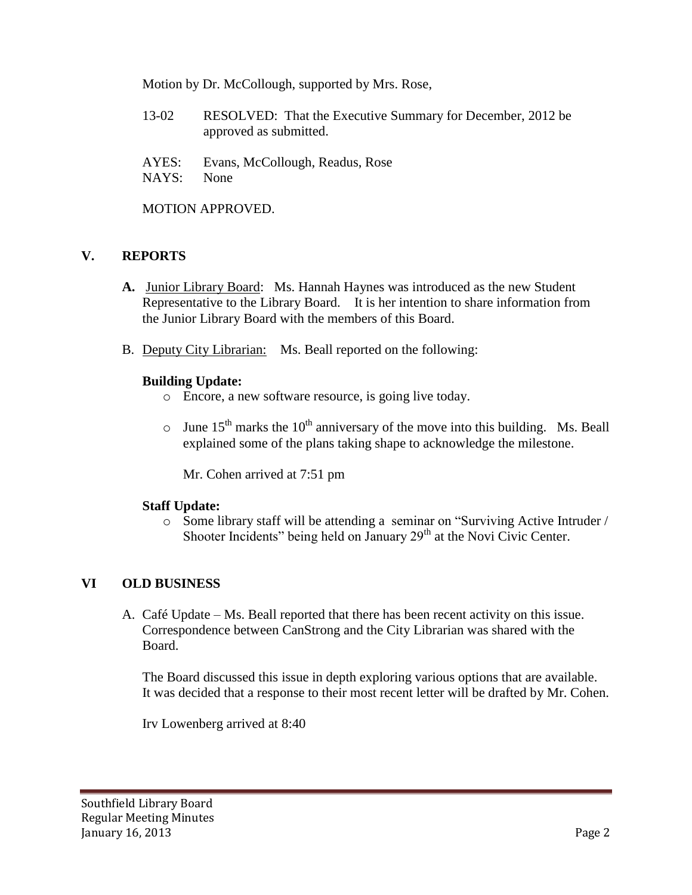Motion by Dr. McCollough, supported by Mrs. Rose,

- 13-02 RESOLVED: That the Executive Summary for December, 2012 be approved as submitted.
- AYES: Evans, McCollough, Readus, Rose NAYS: None

MOTION APPROVED.

## **V. REPORTS**

- **A.** Junior Library Board: Ms. Hannah Haynes was introduced as the new Student Representative to the Library Board. It is her intention to share information from the Junior Library Board with the members of this Board.
- B. Deputy City Librarian: Ms. Beall reported on the following:

## **Building Update:**

- o Encore, a new software resource, is going live today.
- $\circ$  June 15<sup>th</sup> marks the 10<sup>th</sup> anniversary of the move into this building. Ms. Beall explained some of the plans taking shape to acknowledge the milestone.

Mr. Cohen arrived at 7:51 pm

## **Staff Update:**

o Some library staff will be attending a seminar on "Surviving Active Intruder / Shooter Incidents" being held on January 29<sup>th</sup> at the Novi Civic Center.

# **VI OLD BUSINESS**

A. Café Update – Ms. Beall reported that there has been recent activity on this issue. Correspondence between CanStrong and the City Librarian was shared with the Board.

The Board discussed this issue in depth exploring various options that are available. It was decided that a response to their most recent letter will be drafted by Mr. Cohen.

Irv Lowenberg arrived at 8:40